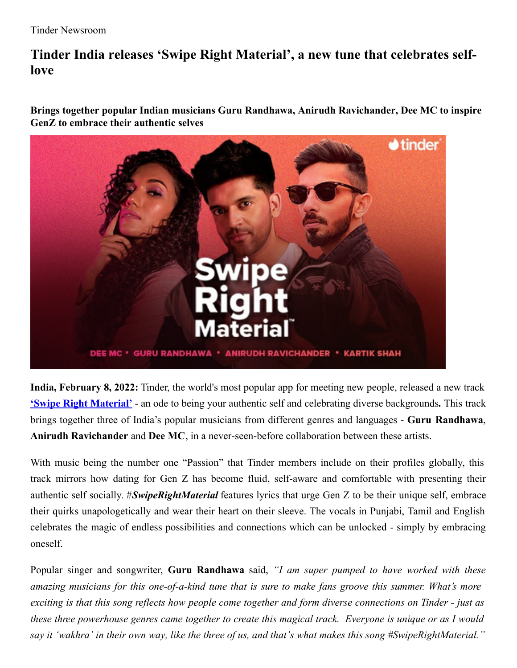## **Tinder India releases 'Swipe Right Material' , a new tune that celebrates selflove**

**Brings together popular Indian musicians Guru Randhawa, Anirudh Ravichander, Dee MC to inspire GenZ to embrace their authentic selves**



**India, February 8, 2022:** Tinder, the world's most popular app for meeting new people, released a new track **'Swipe Right [Material'](https://www.saavn.com/s/song/unknown/Swipe-Right-Material/Swipe-Right-Material/GV4pQkIHAmc)** - an ode to being your authentic self and celebrating diverse backgrounds**.** This track brings together three of India's popular musicians from different genres and languages - **Guru Randhawa**, **Anirudh Ravichander** and **Dee MC**, in a never-seen-before collaboration between these artists.

With music being the number one "Passion" that Tinder members include on their profiles globally, this track mirrors how dating for Gen Z has become fluid, self-aware and comfortable with presenting their authentic self socially. #*SwipeRightMaterial* features lyrics that urge Gen Z to be their unique self, embrace their quirks unapologetically and wear their heart on their sleeve. The vocals in Punjabi, Tamil and English celebrates the magic of endless possibilities and connections which can be unlocked - simply by embracing oneself.

Popular singer and songwriter, **Guru Randhawa** said, *"I am super pumped to have worked with these amazing musicians for this one-of-a-kind tune that is sure to make fans groove this summer. What's more* exciting is that this song reflects how people come together and form diverse connections on Tinder - just as these three powerhouse genres came together to create this magical track. Everyone is unique or as I would say it 'wakhra' in their own way, like the three of us, and that's what makes this song #SwipeRightMaterial."